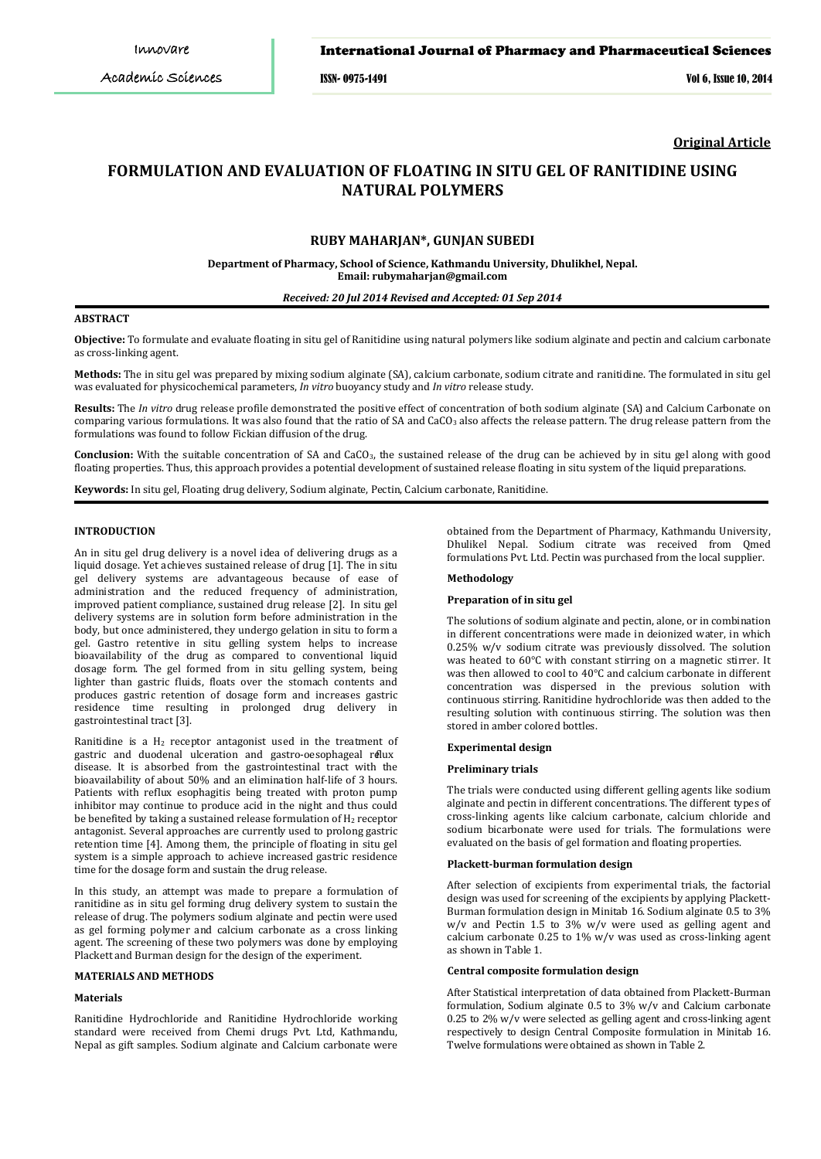### International Journal of Pharmacy and Pharmaceutical Sciences

ISSN- 0975-1491 Vol 6, Issue 10, 2014

**Original Article**

# **FORMULATION AND EVALUATION OF FLOATING IN SITU GEL OF RANITIDINE USING NATURAL POLYMERS**

# **RUBY MAHARJAN\*, GUNJAN SUBEDI**

**Department of Pharmacy, School of Science, Kathmandu University, Dhulikhel, Nepal. Email: rubymaharjan@gmail.com**

### *Received: 20 Jul 2014 Revised and Accepted: 01 Sep 2014*

#### **ABSTRACT**

**Objective:** To formulate and evaluate floating in situ gel of Ranitidine using natural polymers like sodium alginate and pectin and calcium carbonate as cross-linking agent.

**Methods:** The in situ gel was prepared by mixing sodium alginate (SA), calcium carbonate, sodium citrate and ranitidine. The formulated in situ gel was evaluated for physicochemical parameters, *In vitro* buoyancy study and *In vitro* release study.

**Results:** The *In vitro* drug release profile demonstrated the positive effect of concentration of both sodium alginate (SA) and Calcium Carbonate on comparing various formulations. It was also found that the ratio of SA and CaCO<sub>3</sub> also affects the release pattern. The drug release pattern from the formulations was found to follow Fickian diffusion of the drug.

**Conclusion:** With the suitable concentration of SA and CaCO3, the sustained release of the drug can be achieved by in situ gel along with good floating properties. Thus, this approach provides a potential development of sustained release floating in situ system of the liquid preparations.

**Keywords:** In situ gel, Floating drug delivery, Sodium alginate, Pectin, Calcium carbonate, Ranitidine.

#### **INTRODUCTION**

An in situ gel drug delivery is a novel idea of delivering drugs as a liquid dosage. Yet achieves sustained release of drug [1]. The in situ gel delivery systems are advantageous because of ease of administration and the reduced frequency of administration, improved patient compliance, sustained drug release [2]. In situ gel delivery systems are in solution form before administration in the body, but once administered, they undergo gelation in situ to form a gel. Gastro retentive in situ gelling system helps to increase bioavailability of the drug as compared to conventional liquid dosage form. The gel formed from in situ gelling system, being lighter than gastric fluids, floats over the stomach contents and produces gastric retention of dosage form and increases gastric residence time resulting in prolonged drug delivery in gastrointestinal tract [3].

Ranitidine is a H<sub>2</sub> receptor antagonist used in the treatment of gastric and duodenal ulceration and gastro-oesophageal reflux disease. It is absorbed from the gastrointestinal tract with the bioavailability of about 50% and an elimination half-life of 3 hours. Patients with reflux esophagitis being treated with proton pump inhibitor may continue to produce acid in the night and thus could be benefited by taking a sustained release formulation of H<sub>2</sub> receptor antagonist. Several approaches are currently used to prolong gastric retention time [4]. Among them, the principle of floating in situ gel system is a simple approach to achieve increased gastric residence time for the dosage form and sustain the drug release.

In this study, an attempt was made to prepare a formulation of ranitidine as in situ gel forming drug delivery system to sustain the release of drug. The polymers sodium alginate and pectin were used as gel forming polymer and calcium carbonate as a cross linking agent. The screening of these two polymers was done by employing Plackett and Burman design for the design of the experiment.

#### **MATERIALS AND METHODS**

### **Materials**

Ranitidine Hydrochloride and Ranitidine Hydrochloride working standard were received from Chemi drugs Pvt. Ltd, Kathmandu, Nepal as gift samples. Sodium alginate and Calcium carbonate were obtained from the Department of Pharmacy, Kathmandu University, Dhulikel Nepal. Sodium citrate was received from Qmed formulations Pvt. Ltd. Pectin was purchased from the local supplier.

### **Methodology**

#### **Preparation of in situ gel**

The solutions of sodium alginate and pectin, alone, or in combination in different concentrations were made in deionized water, in which 0.25% w/v sodium citrate was previously dissolved. The solution was heated to 60°C with constant stirring on a magnetic stirrer. It was then allowed to cool to 40°C and calcium carbonate in different concentration was dispersed in the previous solution with continuous stirring. Ranitidine hydrochloride was then added to the resulting solution with continuous stirring. The solution was then stored in amber colored bottles.

### **Experimental design**

#### **Preliminary trials**

The trials were conducted using different gelling agents like sodium alginate and pectin in different concentrations. The different types of cross-linking agents like calcium carbonate, calcium chloride and sodium bicarbonate were used for trials. The formulations were evaluated on the basis of gel formation and floating properties.

#### **Plackett-burman formulation design**

After selection of excipients from experimental trials, the factorial design was used for screening of the excipients by applying Plackett-Burman formulation design in Minitab 16. Sodium alginate 0.5 to 3% w/v and Pectin 1.5 to 3% w/v were used as gelling agent and calcium carbonate  $0.25$  to  $1\%$  w/v was used as cross-linking agent as shown in Table 1.

#### **Central composite formulation design**

After Statistical interpretation of data obtained from Plackett-Burman formulation, Sodium alginate 0.5 to 3% w/v and Calcium carbonate 0.25 to 2% w/v were selected as gelling agent and cross-linking agent respectively to design Central Composite formulation in Minitab 16. Twelve formulations were obtained as shown in Table 2.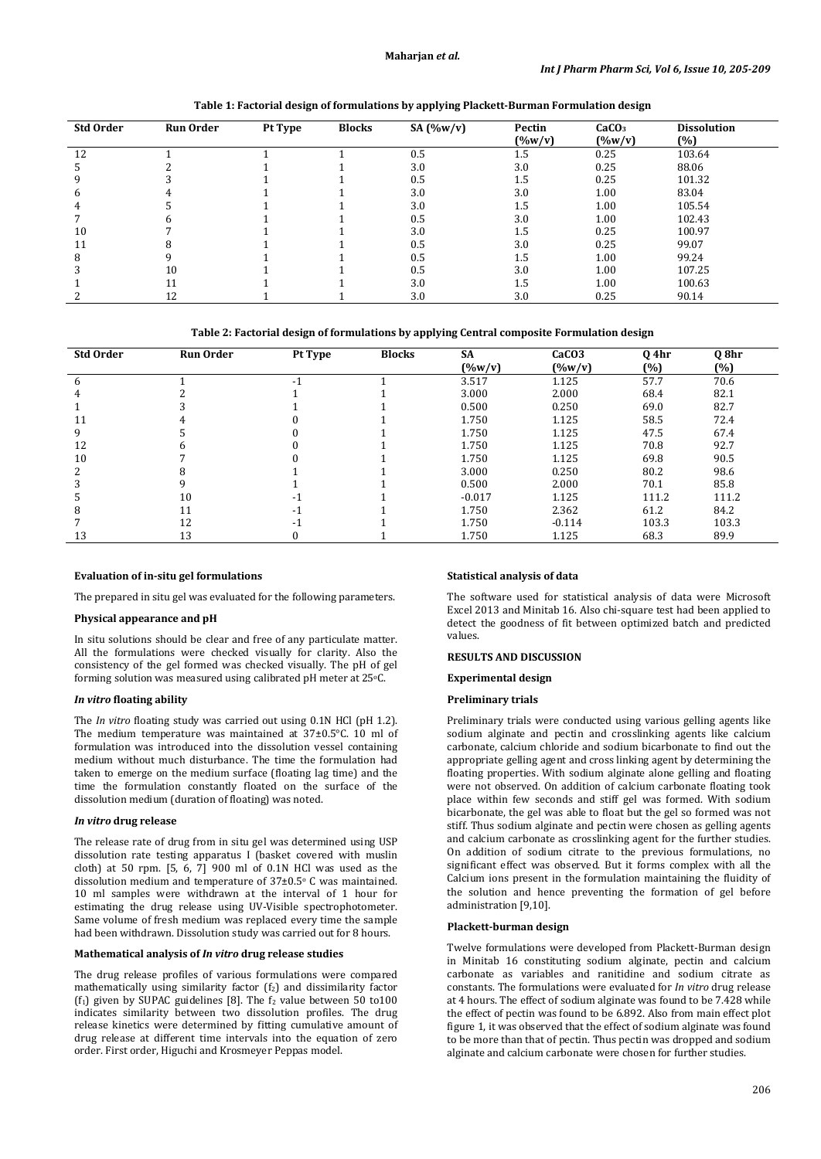| <b>Std Order</b> | <b>Run Order</b> | Pt Type | <b>Blocks</b> | SA $(\%w/v)$ | Pectin<br>$(\%w/v)$ | CaCO <sub>3</sub><br>$($ %w/v) | <b>Dissolution</b><br>(%) |
|------------------|------------------|---------|---------------|--------------|---------------------|--------------------------------|---------------------------|
| 12               |                  |         |               | 0.5          | 1.5                 | 0.25                           | 103.64                    |
| 5                |                  |         |               | 3.0          | 3.0                 | 0.25                           | 88.06                     |
| 9                |                  |         |               | 0.5          | $1.5\,$             | 0.25                           | 101.32                    |
| 6                |                  |         |               | 3.0          | 3.0                 | 1.00                           | 83.04                     |
| 4                |                  |         |               | 3.0          | 1.5                 | 1.00                           | 105.54                    |
|                  |                  |         |               | 0.5          | 3.0                 | 1.00                           | 102.43                    |
| 10               |                  |         |               | 3.0          | 1.5                 | 0.25                           | 100.97                    |
| 11               |                  |         |               | 0.5          | 3.0                 | 0.25                           | 99.07                     |
| 8                |                  |         |               | 0.5          | 1.5                 | 1.00                           | 99.24                     |
| 3                | 10               |         |               | 0.5          | 3.0                 | 1.00                           | 107.25                    |
|                  | 11               |         |               | 3.0          | 1.5                 | 1.00                           | 100.63                    |
|                  | 12               |         |               | 3.0          | 3.0                 | 0.25                           | 90.14                     |

**Table 1: Factorial design of formulations by applying Plackett-Burman Formulation design**

**Table 2: Factorial design of formulations by applying Central composite Formulation design**

| <b>Std Order</b> | <b>Run Order</b> | Pt Type                  | <b>Blocks</b> | <b>SA</b> | CaCO <sub>3</sub> | 0 4hr | Q 8hr |
|------------------|------------------|--------------------------|---------------|-----------|-------------------|-------|-------|
|                  |                  |                          |               | $(\%w/v)$ | $(\%w/v)$         | (%)   | (%)   |
|                  |                  |                          |               | 3.517     | 1.125             | 57.7  | 70.6  |
|                  |                  |                          |               | 3.000     | 2.000             | 68.4  | 82.1  |
|                  |                  |                          |               | 0.500     | 0.250             | 69.0  | 82.7  |
| 11               |                  |                          |               | 1.750     | 1.125             | 58.5  | 72.4  |
| 9                |                  |                          |               | 1.750     | 1.125             | 47.5  | 67.4  |
| 12               |                  |                          |               | 1.750     | 1.125             | 70.8  | 92.7  |
| 10               |                  |                          |               | 1.750     | 1.125             | 69.8  | 90.5  |
|                  |                  |                          |               | 3.000     | 0.250             | 80.2  | 98.6  |
|                  |                  |                          |               | 0.500     | 2.000             | 70.1  | 85.8  |
|                  | 10               | $\overline{\phantom{a}}$ |               | $-0.017$  | 1.125             | 111.2 | 111.2 |
| 8                | 11               |                          |               | 1.750     | 2.362             | 61.2  | 84.2  |
|                  | 12               | -1                       |               | 1.750     | $-0.114$          | 103.3 | 103.3 |
| 13               | 13               |                          |               | 1.750     | 1.125             | 68.3  | 89.9  |

#### **Evaluation of in-situ gel formulations**

The prepared in situ gel was evaluated for the following parameters.

### **Physical appearance and pH**

In situ solutions should be clear and free of any particulate matter. All the formulations were checked visually for clarity. Also the consistency of the gel formed was checked visually. The pH of gel forming solution was measured using calibrated pH meter at 25°C.

### *In vitro* **floating ability**

The *In vitro* floating study was carried out using 0.1N HCl (pH 1.2). The medium temperature was maintained at 37±0.5°C. 10 ml of formulation was introduced into the dissolution vessel containing medium without much disturbance. The time the formulation had taken to emerge on the medium surface (floating lag time) and the time the formulation constantly floated on the surface of the dissolution medium (duration of floating) was noted.

#### *In vitro* **drug release**

The release rate of drug from in situ gel was determined using USP dissolution rate testing apparatus I (basket covered with muslin cloth) at 50 rpm. [5, 6, 7] 900 ml of 0.1N HCl was used as the dissolution medium and temperature of 37±0.5o C was maintained. 10 ml samples were withdrawn at the interval of 1 hour for estimating the drug release using UV-Visible spectrophotometer. Same volume of fresh medium was replaced every time the sample had been withdrawn. Dissolution study was carried out for 8 hours.

#### **Mathematical analysis of** *In vitro* **drug release studies**

The drug release profiles of various formulations were compared mathematically using similarity factor  $(f_2)$  and dissimilarity factor (f<sub>1</sub>) given by SUPAC guidelines [8]. The  $f_2$  value between 50 to100 indicates similarity between two dissolution profiles. The drug release kinetics were determined by fitting cumulative amount of drug release at different time intervals into the equation of zero order. First order, Higuchi and Krosmeyer Peppas model.

### **Statistical analysis of data**

The software used for statistical analysis of data were Microsoft Excel 2013 and Minitab 16. Also chi-square test had been applied to detect the goodness of fit between optimized batch and predicted values.

### **RESULTS AND DISCUSSION**

#### **Experimental design**

### **Preliminary trials**

Preliminary trials were conducted using various gelling agents like sodium alginate and pectin and crosslinking agents like calcium carbonate, calcium chloride and sodium bicarbonate to find out the appropriate gelling agent and cross linking agent by determining the floating properties. With sodium alginate alone gelling and floating were not observed. On addition of calcium carbonate floating took place within few seconds and stiff gel was formed. With sodium bicarbonate, the gel was able to float but the gel so formed was not stiff. Thus sodium alginate and pectin were chosen as gelling agents and calcium carbonate as crosslinking agent for the further studies. On addition of sodium citrate to the previous formulations, no significant effect was observed. But it forms complex with all the Calcium ions present in the formulation maintaining the fluidity of the solution and hence preventing the formation of gel before administration [9,10].

#### **Plackett-burman design**

Twelve formulations were developed from Plackett-Burman design in Minitab 16 constituting sodium alginate, pectin and calcium carbonate as variables and ranitidine and sodium citrate as constants. The formulations were evaluated for *In vitro* drug release at 4 hours. The effect of sodium alginate was found to be 7.428 while the effect of pectin was found to be 6.892. Also from main effect plot figure 1, it was observed that the effect of sodium alginate was found to be more than that of pectin. Thus pectin was dropped and sodium alginate and calcium carbonate were chosen for further studies.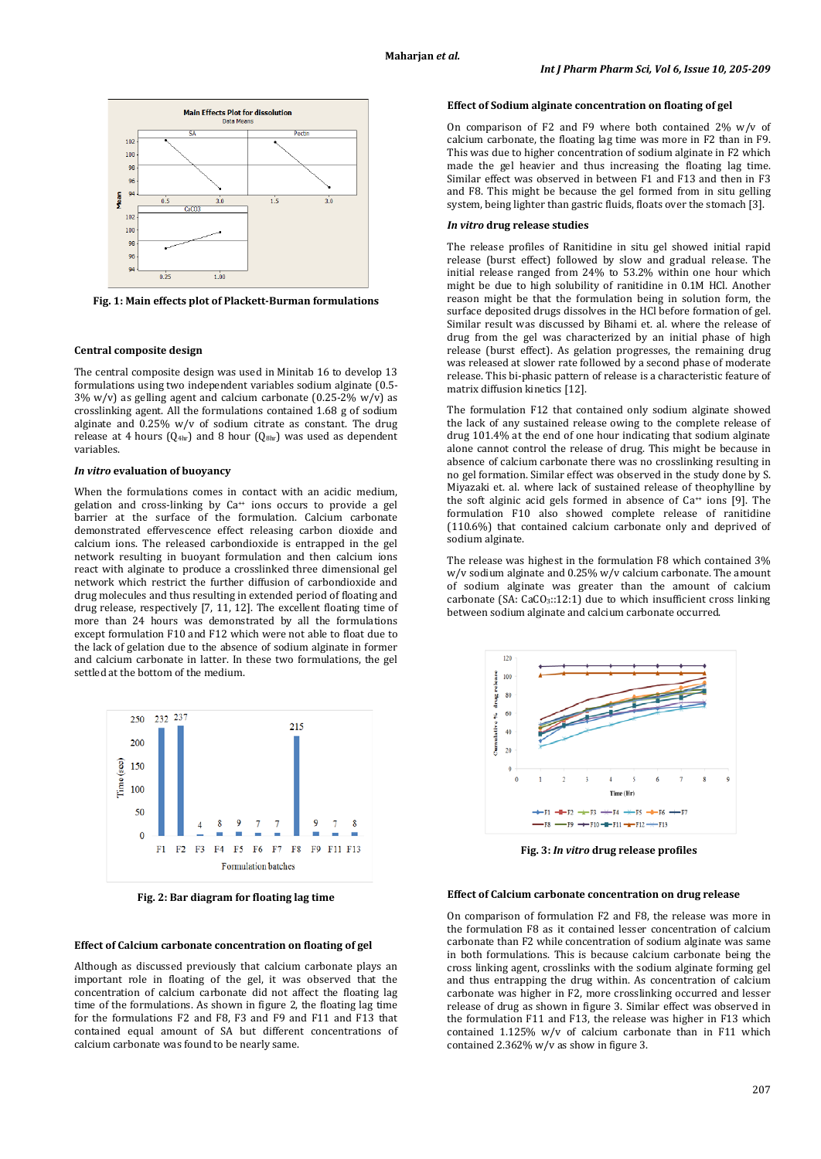

**Fig. 1: Main effects plot of Plackett-Burman formulations**

#### **Central composite design**

The central composite design was used in Minitab 16 to develop 13 formulations using two independent variables sodium alginate (0.5- 3% w/v) as gelling agent and calcium carbonate (0.25-2% w/v) as crosslinking agent. All the formulations contained 1.68 g of sodium alginate and 0.25% w/v of sodium citrate as constant. The drug release at 4 hours  $(Q<sub>4hr</sub>)$  and 8 hour  $(Q<sub>8hr</sub>)$  was used as dependent variables.

#### *In vitro* **evaluation of buoyancy**

When the formulations comes in contact with an acidic medium, gelation and cross-linking by Ca<sup>++</sup> ions occurs to provide a gel barrier at the surface of the formulation. Calcium carbonate demonstrated effervescence effect releasing carbon dioxide and calcium ions. The released carbondioxide is entrapped in the gel network resulting in buoyant formulation and then calcium ions react with alginate to produce a crosslinked three dimensional gel network which restrict the further diffusion of carbondioxide and drug molecules and thus resulting in extended period of floating and drug release, respectively [7, 11, 12]. The excellent floating time of more than 24 hours was demonstrated by all the formulations except formulation F10 and F12 which were not able to float due to the lack of gelation due to the absence of sodium alginate in former and calcium carbonate in latter. In these two formulations, the gel settled at the bottom of the medium.



**Fig. 2: Bar diagram for floating lag time**

#### **Effect of Calcium carbonate concentration on floating of gel**

Although as discussed previously that calcium carbonate plays an important role in floating of the gel, it was observed that the concentration of calcium carbonate did not affect the floating lag time of the formulations. As shown in figure 2, the floating lag time for the formulations F2 and F8, F3 and F9 and F11 and F13 that contained equal amount of SA but different concentrations of calcium carbonate was found to be nearly same.

### **Effect of Sodium alginate concentration on floating of gel**

On comparison of F2 and F9 where both contained  $2\%$  w/v of calcium carbonate, the floating lag time was more in F2 than in F9. This was due to higher concentration of sodium alginate in F2 which made the gel heavier and thus increasing the floating lag time. Similar effect was observed in between F1 and F13 and then in F3 and F8. This might be because the gel formed from in situ gelling system, being lighter than gastric fluids, floats over the stomach [3].

#### *In vitro* **drug release studies**

The release profiles of Ranitidine in situ gel showed initial rapid release (burst effect) followed by slow and gradual release. The initial release ranged from 24% to 53.2% within one hour which might be due to high solubility of ranitidine in 0.1M HCl. Another reason might be that the formulation being in solution form, the surface deposited drugs dissolves in the HCl before formation of gel. Similar result was discussed by Bihami et. al. where the release of drug from the gel was characterized by an initial phase of high release (burst effect). As gelation progresses, the remaining drug was released at slower rate followed by a second phase of moderate release. This bi-phasic pattern of release is a characteristic feature of matrix diffusion kinetics [12].

The formulation F12 that contained only sodium alginate showed the lack of any sustained release owing to the complete release of drug 101.4% at the end of one hour indicating that sodium alginate alone cannot control the release of drug. This might be because in absence of calcium carbonate there was no crosslinking resulting in no gel formation. Similar effect was observed in the study done by S. Miyazaki et. al. where lack of sustained release of theophylline by the soft alginic acid gels formed in absence of  $Ca^{++}$  ions [9]. The formulation F10 also showed complete release of ranitidine (110.6%) that contained calcium carbonate only and deprived of sodium alginate.

The release was highest in the formulation F8 which contained 3% w/v sodium alginate and 0.25% w/v calcium carbonate. The amount of sodium alginate was greater than the amount of calcium carbonate (SA:  $CaCO<sub>3</sub>:12:1$ ) due to which insufficient cross linking between sodium alginate and calcium carbonate occurred.



**Fig. 3:** *In vitro* **drug release profiles**

#### **Effect of Calcium carbonate concentration on drug release**

On comparison of formulation F2 and F8, the release was more in the formulation F8 as it contained lesser concentration of calcium carbonate than F2 while concentration of sodium alginate was same in both formulations. This is because calcium carbonate being the cross linking agent, crosslinks with the sodium alginate forming gel and thus entrapping the drug within. As concentration of calcium carbonate was higher in F2, more crosslinking occurred and lesser release of drug as shown in figure 3. Similar effect was observed in the formulation F11 and F13, the release was higher in F13 which contained 1.125% w/v of calcium carbonate than in F11 which contained 2.362% w/v as show in figure 3.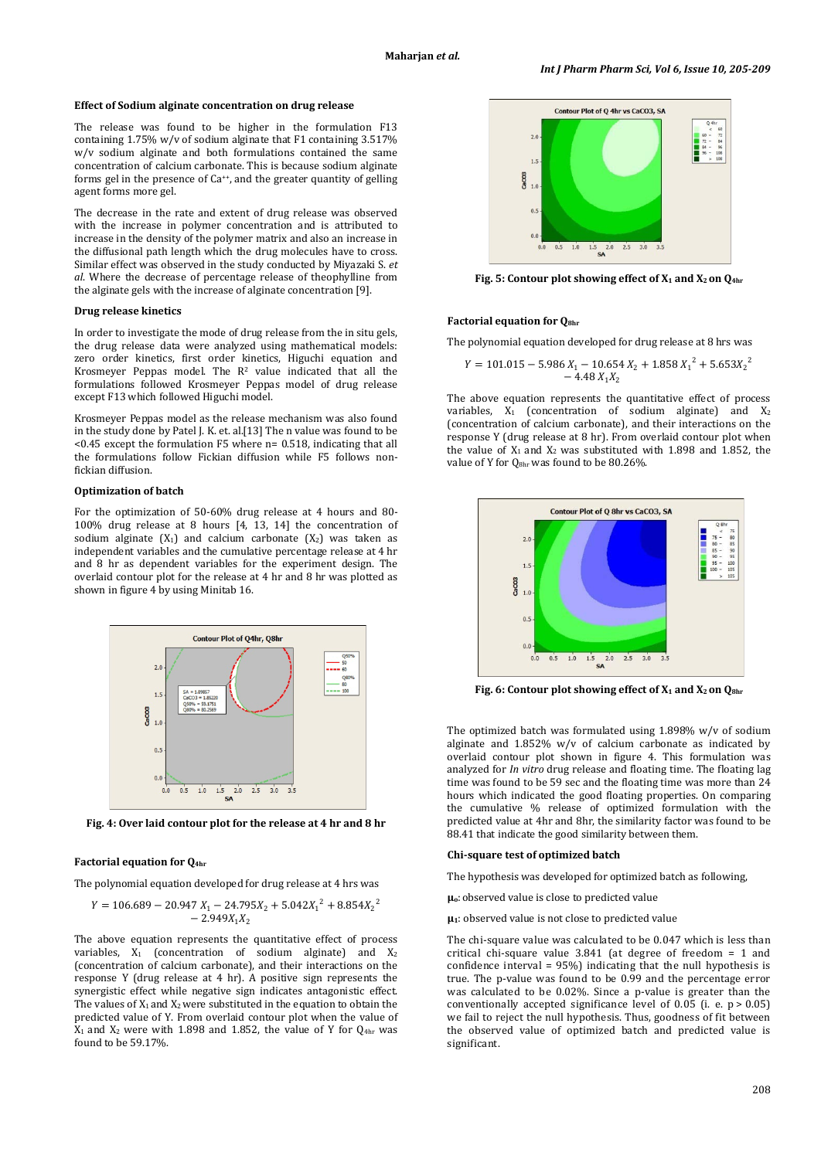#### **Effect of Sodium alginate concentration on drug release**

The release was found to be higher in the formulation F13 containing 1.75% w/v of sodium alginate that F1 containing 3.517% w/v sodium alginate and both formulations contained the same concentration of calcium carbonate. This is because sodium alginate forms gel in the presence of Ca++, and the greater quantity of gelling agent forms more gel.

The decrease in the rate and extent of drug release was observed with the increase in polymer concentration and is attributed to increase in the density of the polymer matrix and also an increase in the diffusional path length which the drug molecules have to cross. Similar effect was observed in the study conducted by Miyazaki S. *et al*. Where the decrease of percentage release of theophylline from the alginate gels with the increase of alginate concentration [9].

#### **Drug release kinetics**

In order to investigate the mode of drug release from the in situ gels, the drug release data were analyzed using mathematical models: zero order kinetics, first order kinetics, Higuchi equation and Krosmeyer Peppas model. The  $R^2$  value indicated that all the formulations followed Krosmeyer Peppas model of drug release except F13 which followed Higuchi model.

Krosmeyer Peppas model as the release mechanism was also found in the study done by Patel J. K. et. al.[13] The n value was found to be <0.45 except the formulation F5 where n= 0.518, indicating that all the formulations follow Fickian diffusion while F5 follows nonfickian diffusion.

### **Optimization of batch**

For the optimization of 50-60% drug release at 4 hours and 80- 100% drug release at 8 hours [4, 13, 14] the concentration of sodium alginate  $(X_1)$  and calcium carbonate  $(X_2)$  was taken as independent variables and the cumulative percentage release at 4 hr and 8 hr as dependent variables for the experiment design. The overlaid contour plot for the release at 4 hr and 8 hr was plotted as shown in figure 4 by using Minitab 16.



**Fig. 4: Over laid contour plot for the release at 4 hr and 8 hr**

#### **Factorial equation for Q4hr**

The polynomial equation developed for drug release at 4 hrs was

$$
Y = 106.689 - 20.947 X_1 - 24.795X_2 + 5.042X_1^2 + 8.854X_2^2 - 2.949X_1X_2
$$

The above equation represents the quantitative effect of process variables,  $X_1$  (concentration of sodium alginate) and  $X_2$ (concentration of calcium carbonate), and their interactions on the response Y (drug release at 4 hr). A positive sign represents the synergistic effect while negative sign indicates antagonistic effect. The values of  $X_1$  and  $X_2$  were substituted in the equation to obtain the predicted value of Y. From overlaid contour plot when the value of  $X_1$  and  $X_2$  were with 1.898 and 1.852, the value of Y for  $Q_{4hr}$  was found to be 59.17%.



**Fig. 5: Contour plot showing effect of X1 and X2 on Q4hr**

#### **Factorial equation for Q8hr**

The polynomial equation developed for drug release at 8 hrs was

$$
Y = 101.015 - 5.986 X_1 - 10.654 X_2 + 1.858 X_1^2 + 5.653 X_2^2 - 4.48 X_1 X_2
$$

The above equation represents the quantitative effect of process variables,  $X_1$  (concentration of sodium alginate) and  $X_2$ (concentration of calcium carbonate), and their interactions on the response Y (drug release at 8 hr). From overlaid contour plot when the value of  $X_1$  and  $X_2$  was substituted with 1.898 and 1.852, the value of Y for Q<sub>8hr</sub> was found to be 80.26%.



**Fig. 6: Contour plot showing effect of X1 and X2 on Q8hr**

The optimized batch was formulated using 1.898% w/v of sodium alginate and 1.852% w/v of calcium carbonate as indicated by overlaid contour plot shown in figure 4. This formulation was analyzed for *In vitro* drug release and floating time. The floating lag time was found to be 59 sec and the floating time was more than 24 hours which indicated the good floating properties. On comparing the cumulative % release of optimized formulation with the predicted value at 4hr and 8hr, the similarity factor was found to be 88.41 that indicate the good similarity between them.

#### **Chi-square test of optimized batch**

The hypothesis was developed for optimized batch as following,

**µo**:observed value is close to predicted value

**µ1**: observed value is not close to predicted value

The chi-square value was calculated to be 0.047 which is less than critical chi-square value 3.841 (at degree of freedom = 1 and confidence interval = 95%) indicating that the null hypothesis is true. The p-value was found to be 0.99 and the percentage error was calculated to be 0.02%. Since a p-value is greater than the conventionally accepted significance level of 0.05 (i. e.  $p > 0.05$ ) we fail to reject the null hypothesis. Thus, goodness of fit between the observed value of optimized batch and predicted value is significant.